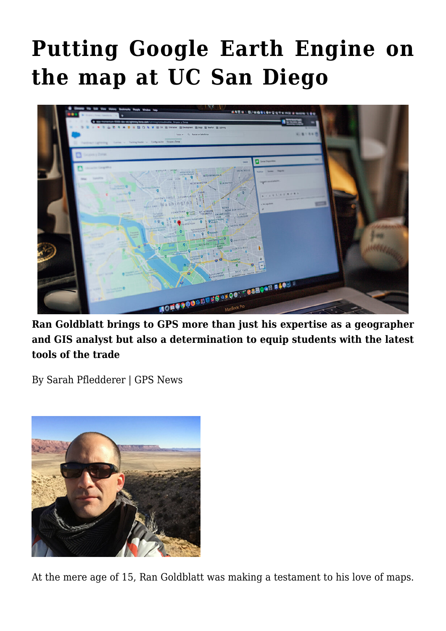## **[Putting Google Earth Engine on](https://gpsnews.ucsd.edu/putting-google-earth-engine-on-the-map-at-uc-san-diego/) [the map at UC San Diego](https://gpsnews.ucsd.edu/putting-google-earth-engine-on-the-map-at-uc-san-diego/)**



**Ran Goldblatt brings to GPS more than just his expertise as a geographer and GIS analyst but also a determination to equip students with the latest tools of the trade**

By Sarah Pfledderer | GPS News



At the mere age of 15, Ran Goldblatt was making a testament to his love of maps.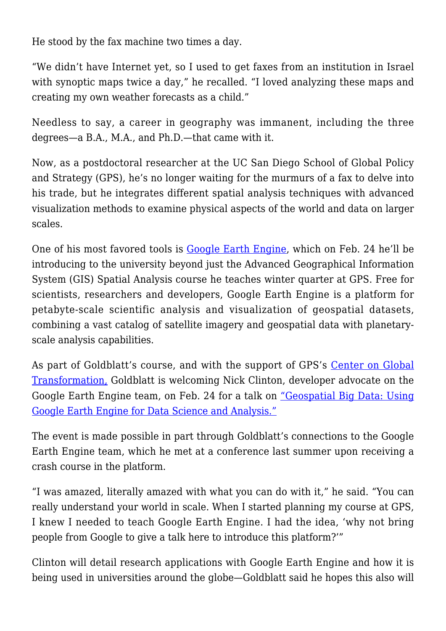He stood by the fax machine two times a day.

"We didn't have Internet yet, so I used to get faxes from an institution in Israel with synoptic maps twice a day," he recalled. "I loved analyzing these maps and creating my own weather forecasts as a child."

Needless to say, a career in geography was immanent, including the three degrees—a B.A., M.A., and Ph.D.—that came with it.

Now, as a postdoctoral researcher at the UC San Diego School of Global Policy and Strategy (GPS), he's no longer waiting for the murmurs of a fax to delve into his trade, but he integrates different spatial analysis techniques with advanced visualization methods to examine physical aspects of the world and data on larger scales.

One of his most favored tools is [Google Earth Engine,](https://earthengine.google.com/) which on Feb. 24 he'll be introducing to the university beyond just the Advanced Geographical Information System (GIS) Spatial Analysis course he teaches winter quarter at GPS. Free for scientists, researchers and developers, Google Earth Engine is a platform for petabyte-scale scientific analysis and visualization of geospatial datasets, combining a vast catalog of satellite imagery and geospatial data with planetaryscale analysis capabilities.

As part of Goldblatt's course, and with the support of GPS's [Center on Global](http://cgt.ucsd.edu/) [Transformation,](http://cgt.ucsd.edu/) Goldblatt is welcoming Nick Clinton, developer advocate on the Google Earth Engine team, on Feb. 24 for a talk on <u>"Geospatial Big Data: Using</u> [Google Earth Engine for Data Science and Analysis."](https://www.eventbrite.com/e/geospatial-big-data-tickets-19999210176)

The event is made possible in part through Goldblatt's connections to the Google Earth Engine team, which he met at a conference last summer upon receiving a crash course in the platform.

"I was amazed, literally amazed with what you can do with it," he said. "You can really understand your world in scale. When I started planning my course at GPS, I knew I needed to teach Google Earth Engine. I had the idea, 'why not bring people from Google to give a talk here to introduce this platform?'"

Clinton will detail research applications with Google Earth Engine and how it is being used in universities around the globe—Goldblatt said he hopes this also will